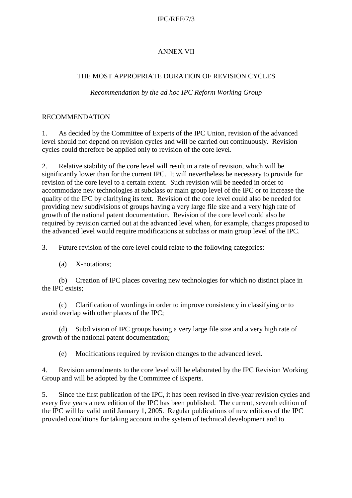### IPC/REF/7/3

# ANNEX VII

### THE MOST APPROPRIATE DURATION OF REVISION CYCLES

#### *Recommendation by the ad hoc IPC Reform Working Group*

### RECOMMENDATION

1. As decided by the Committee of Experts of the IPC Union, revision of the advanced level should not depend on revision cycles and will be carried out continuously. Revision cycles could therefore be applied only to revision of the core level.

2. Relative stability of the core level will result in a rate of revision, which will be significantly lower than for the current IPC. It will nevertheless be necessary to provide for revision of the core level to a certain extent. Such revision will be needed in order to accommodate new technologies at subclass or main group level of the IPC or to increase the quality of the IPC by clarifying its text. Revision of the core level could also be needed for providing new subdivisions of groups having a very large file size and a very high rate of growth of the national patent documentation. Revision of the core level could also be required by revision carried out at the advanced level when, for example, changes proposed to the advanced level would require modifications at subclass or main group level of the IPC.

3. Future revision of the core level could relate to the following categories:

(a) X-notations;

(b) Creation of IPC places covering new technologies for which no distinct place in the IPC exists;

(c) Clarification of wordings in order to improve consistency in classifying or to avoid overlap with other places of the IPC;

(d) Subdivision of IPC groups having a very large file size and a very high rate of growth of the national patent documentation;

(e) Modifications required by revision changes to the advanced level.

4. Revision amendments to the core level will be elaborated by the IPC Revision Working Group and will be adopted by the Committee of Experts.

5. Since the first publication of the IPC, it has been revised in five-year revision cycles and every five years a new edition of the IPC has been published. The current, seventh edition of the IPC will be valid until January 1, 2005. Regular publications of new editions of the IPC provided conditions for taking account in the system of technical development and to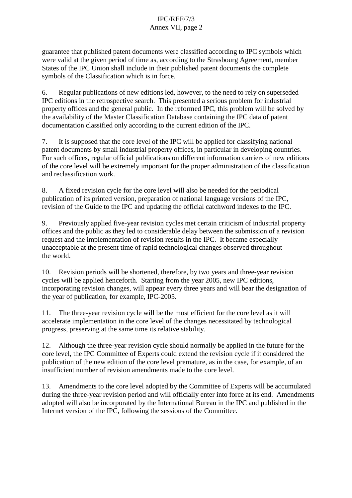# IPC/REF/7/3 Annex VII, page 2

guarantee that published patent documents were classified according to IPC symbols which were valid at the given period of time as, according to the Strasbourg Agreement, member States of the IPC Union shall include in their published patent documents the complete symbols of the Classification which is in force.

6. Regular publications of new editions led, however, to the need to rely on superseded IPC editions in the retrospective search. This presented a serious problem for industrial property offices and the general public. In the reformed IPC, this problem will be solved by the availability of the Master Classification Database containing the IPC data of patent documentation classified only according to the current edition of the IPC.

7. It is supposed that the core level of the IPC will be applied for classifying national patent documents by small industrial property offices, in particular in developing countries. For such offices, regular official publications on different information carriers of new editions of the core level will be extremely important for the proper administration of the classification and reclassification work.

8. A fixed revision cycle for the core level will also be needed for the periodical publication of its printed version, preparation of national language versions of the IPC, revision of the Guide to the IPC and updating the official catchword indexes to the IPC.

9. Previously applied five-year revision cycles met certain criticism of industrial property offices and the public as they led to considerable delay between the submission of a revision request and the implementation of revision results in the IPC. It became especially unacceptable at the present time of rapid technological changes observed throughout the world.

10. Revision periods will be shortened, therefore, by two years and three-year revision cycles will be applied henceforth. Starting from the year 2005, new IPC editions, incorporating revision changes, will appear every three years and will bear the designation of the year of publication, for example, IPC-2005.

11. The three-year revision cycle will be the most efficient for the core level as it will accelerate implementation in the core level of the changes necessitated by technological progress, preserving at the same time its relative stability.

12. Although the three-year revision cycle should normally be applied in the future for the core level, the IPC Committee of Experts could extend the revision cycle if it considered the publication of the new edition of the core level premature, as in the case, for example, of an insufficient number of revision amendments made to the core level.

13. Amendments to the core level adopted by the Committee of Experts will be accumulated during the three-year revision period and will officially enter into force at its end. Amendments adopted will also be incorporated by the International Bureau in the IPC and published in the Internet version of the IPC, following the sessions of the Committee.